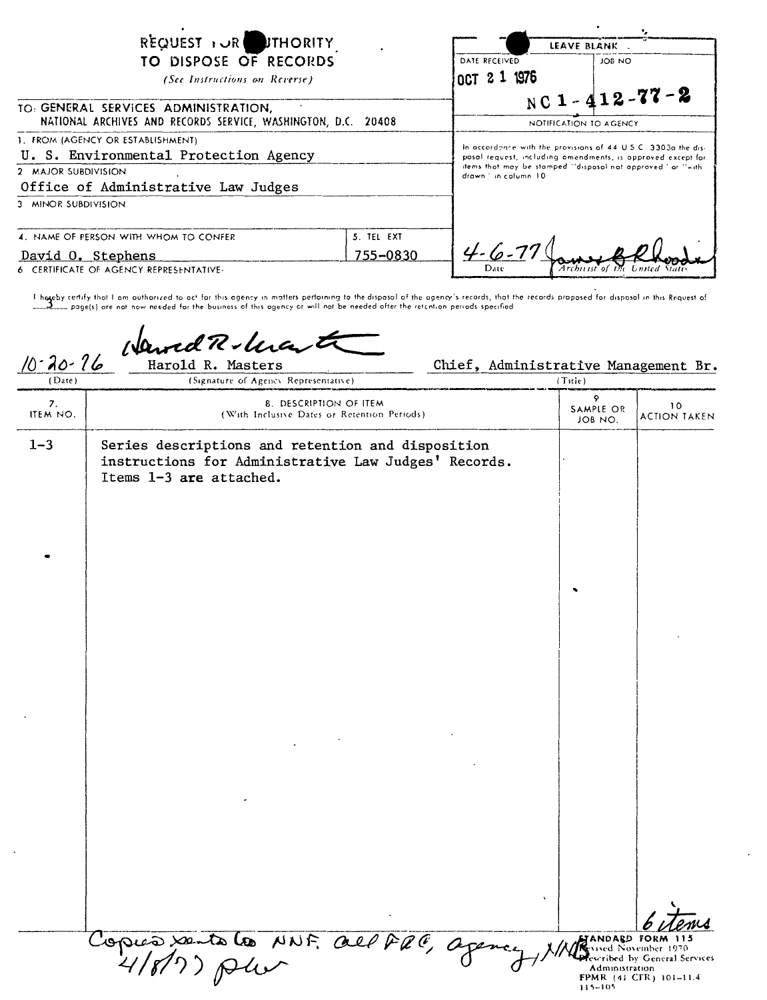| REQUEST I JR FITHORITY<br>TO DISPOSE OF RECORDS<br>(See Instructions on Reverse)                                                                                |                        | DATE RECEIVED<br>OCT 2 1 1976                                                                                                                                                                                    | LEAVE BLANK .<br>JOB NO                         |
|-----------------------------------------------------------------------------------------------------------------------------------------------------------------|------------------------|------------------------------------------------------------------------------------------------------------------------------------------------------------------------------------------------------------------|-------------------------------------------------|
| TO: GENERAL SERVICES ADMINISTRATION,<br>NATIONAL ARCHIVES AND RECORDS SERVICE, WASHINGTON, D.C. 20408                                                           |                        |                                                                                                                                                                                                                  | NC 1 - $412 - 77 - 2$<br>NOTIFICATION TO AGENCY |
| 1. FROM (AGENCY OR ESTABLISHMENT)<br>U. S. Environmental Protection Agency<br>2 MAJOR SUBDIVISION<br>Office of Administrative Law Judges<br>3 MINOR SUBDIVISION |                        | In accordance with the provisions of 44 U.S.C. 3303a the dis-<br>posal request, including amendments, is opproved except for<br>items that may be stamped "dispasal not approved" or "with<br>drawn in catumn 10 |                                                 |
| 4. NAME OF PERSON WITH WHOM TO CONFER<br>David O. Stephens<br>6 CERTIFICATE OF AGENCY REPRESENTATIVE-                                                           | 5. TEL EXT<br>755-0830 | $4 - 6 - 77$<br>Date                                                                                                                                                                                             | Archu ist`of                                    |

thore by certify that I am authorized to act for this agency in matters pertaining to the dispasol of the agency's records, that the records proposed for dispasol in this Request of the second proposed for dispasol in this

Harold R Masters

## Chief, Administrative Management Br.  $\overline{\text{Tr}\text{det}}$

| $10 - 20 - 16$<br>(Date) | Harold R. Masters<br>(Signature of Agency Representative)                                                                            | Chief, Administrative Management Br. | (Title)                   |                                                                                                   |
|--------------------------|--------------------------------------------------------------------------------------------------------------------------------------|--------------------------------------|---------------------------|---------------------------------------------------------------------------------------------------|
| 7.<br>ITEM NO.           | 8. DESCRIPTION OF ITEM<br>(With Inclusive Dates or Retention Periods).                                                               |                                      | 9<br>SAMPLE OR<br>JOB NO. | 10<br><b>ACTION TAKEN</b>                                                                         |
| $1 - 3$                  | Series descriptions and retention and disposition<br>instructions for Administrative Law Judges' Records.<br>Items 1-3 are attached. |                                      |                           |                                                                                                   |
|                          |                                                                                                                                      |                                      |                           |                                                                                                   |
|                          |                                                                                                                                      |                                      |                           |                                                                                                   |
|                          |                                                                                                                                      |                                      |                           |                                                                                                   |
|                          |                                                                                                                                      |                                      |                           |                                                                                                   |
|                          |                                                                                                                                      |                                      |                           |                                                                                                   |
|                          |                                                                                                                                      |                                      |                           |                                                                                                   |
|                          | Copies sentates NNF. all PaC, agence                                                                                                 |                                      | Administration<br>115-105 | MANDARD FORM 115<br>sed November 1970.<br>rescribed by General Services<br>FPMR (41 CFR) 101-11.4 |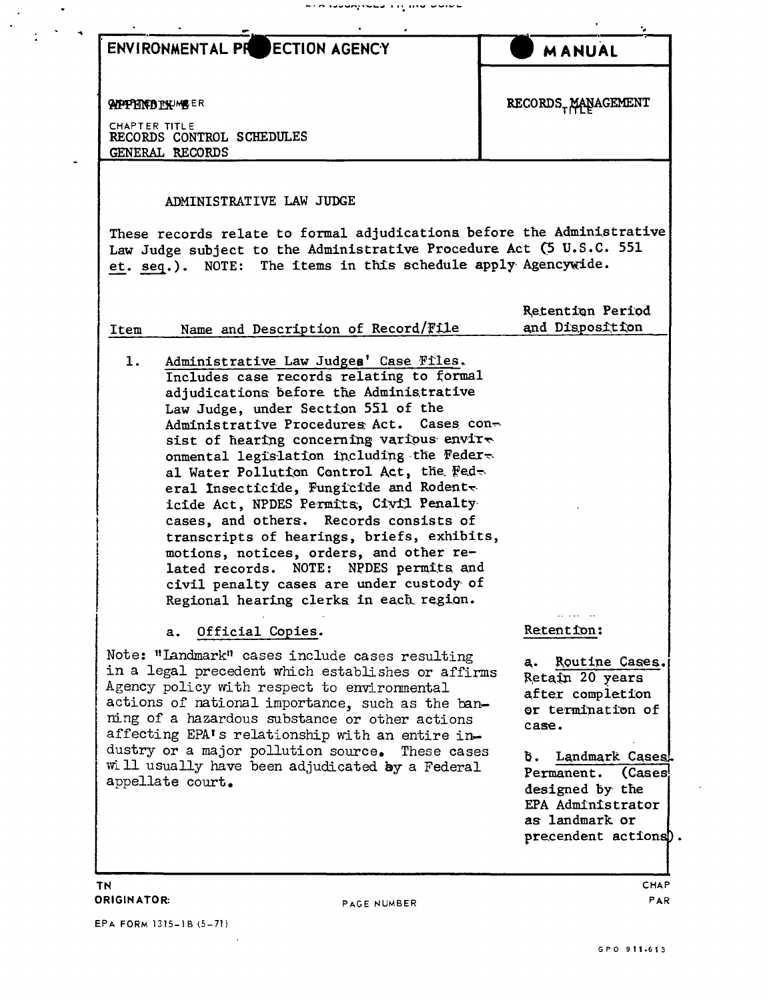| <b>ENVIRONMENTAL PR</b><br><b>ECTION AGENCY</b>                                                                                                                                                                                                                                                                                                                                                                                                                                                                                                                                                                                                                                                                                                   | <b>MANUAL</b>                                                                                                                                                                                         |
|---------------------------------------------------------------------------------------------------------------------------------------------------------------------------------------------------------------------------------------------------------------------------------------------------------------------------------------------------------------------------------------------------------------------------------------------------------------------------------------------------------------------------------------------------------------------------------------------------------------------------------------------------------------------------------------------------------------------------------------------------|-------------------------------------------------------------------------------------------------------------------------------------------------------------------------------------------------------|
| <b>APPPERFBTY-UMBER</b><br><b>CHAPTER TITLE</b><br>RECORDS CONTROL SCHEDULES<br>GENERAL RECORDS                                                                                                                                                                                                                                                                                                                                                                                                                                                                                                                                                                                                                                                   | RECORDS <sub>T</sub> MANAGEMENT                                                                                                                                                                       |
| ADMINISTRATIVE LAW JUDGE<br>These records relate to formal adjudications before the Administrative<br>Law Judge subject to the Administrative Procedure Act (5 U.S.C. 551<br>et. seq.). NOTE: The items in this schedule apply Agencywide.                                                                                                                                                                                                                                                                                                                                                                                                                                                                                                        |                                                                                                                                                                                                       |
| Name and Description of Record/File<br>Item                                                                                                                                                                                                                                                                                                                                                                                                                                                                                                                                                                                                                                                                                                       | Retention Period<br>and Disposition                                                                                                                                                                   |
| Administrative Law Judges' Case Files.<br>1.<br>Includes case records relating to formal<br>adjudications before the Administrative<br>Law Judge, under Section 551 of the<br>Administrative Procedures Act. Cases con-<br>sist of hearing concerning various envire<br>onmental legislation including the Feder-<br>al Water Pollution Control Act, the Fed-<br>eral Insecticide, Fungicide and Rodente<br>icide Act, NPDES Permits, Civil Penalty<br>cases, and others. Records consists of<br>transcripts of hearings, briefs, exhibits,<br>motions, notices, orders, and other re-<br>lated records. NOTE: NPDES permits and<br>civil penalty cases are under custody of<br>Regional hearing clerks in each region.<br>Official Copies.<br>a. | . <b>.</b><br>Retention:                                                                                                                                                                              |
| Note: "Landmark" cases include cases resulting<br>in a legal precedent which establishes or affirms<br>Agency policy with respect to environmental<br>actions of national importance, such as the ban-<br>ming of a hazardous substance or other actions<br>affecting EPA's relationship with an entire in-<br>dustry or a major pollution source. These cases<br>will usually have been adjudicated by a Federal<br>appellate court.                                                                                                                                                                                                                                                                                                             | Routine Cases.<br>a.<br>Retain 20 years<br>after completion<br>or termination of<br>case.<br>Landmark Cases.<br>в.<br>Permanent.<br>(Cases)<br>designed by the<br>EPA Administrator<br>as landmark or |

EPA FORM 1315-1B (5-71)  $\mathcal{L}^{\text{max}}_{\text{max}}$ 

 $\mathbf{A}^{\prime}$ 

 $\sim$   $\omega$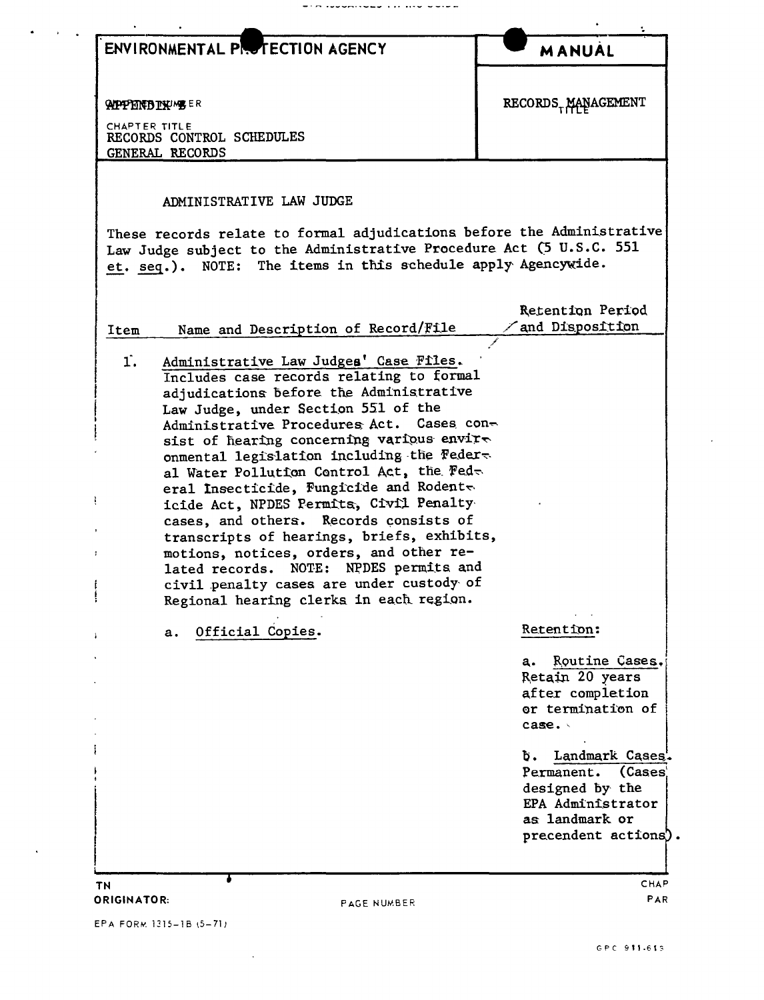| ENVIRONMENTAL PROTECTION AGENCY                                                                                                                                                                                                                                                                                                                                                                                                                                                                                                                                                                                                                                                                                                                                                                        | <b>MANUAL</b>                                                                                                                                                                                                        |
|--------------------------------------------------------------------------------------------------------------------------------------------------------------------------------------------------------------------------------------------------------------------------------------------------------------------------------------------------------------------------------------------------------------------------------------------------------------------------------------------------------------------------------------------------------------------------------------------------------------------------------------------------------------------------------------------------------------------------------------------------------------------------------------------------------|----------------------------------------------------------------------------------------------------------------------------------------------------------------------------------------------------------------------|
| <b>APPENTO TYPE ER</b><br>CHAPTER TITLE<br>RECORDS CONTROL SCHEDULES<br>GENERAL RECORDS                                                                                                                                                                                                                                                                                                                                                                                                                                                                                                                                                                                                                                                                                                                | RECORDS <sub>T</sub> MANAGEMENT                                                                                                                                                                                      |
| ADMINISTRATIVE LAW JUDGE<br>These records relate to formal adjudications before the Administrative<br>Law Judge subject to the Administrative Procedure Act (5 U.S.C. 551<br>et. seq.). NOTE: The items in this schedule apply Agencywide.                                                                                                                                                                                                                                                                                                                                                                                                                                                                                                                                                             |                                                                                                                                                                                                                      |
| Name and Description of Record/File<br>Item<br>Administrative Law Judges' Case Files.<br>1.<br>Includes case records relating to formal<br>adjudications before the Administrative<br>Law Judge, under Section 551 of the<br>Administrative Procedures Act. Cases con-<br>sist of hearing concerning various envire<br>onmental legislation including the Feder-<br>al Water Pollution Control Act, the Fed-<br>eral Insecticide, Fungicide and Rodent $\sim$<br>icide Act, NPDES Permits, Civil Penalty<br>cases, and others. Records consists of<br>transcripts of hearings, briefs, exhibits,<br>motions, notices, orders, and other re-<br>lated records. NOTE: NPDES permits and<br>civil penalty cases are under custody of<br>Regional hearing clerks in each region.<br>Official Copies.<br>а. | Retention Period<br>and Disposition<br>Retention:<br>Routine Cases.<br>a.                                                                                                                                            |
| ΤN<br><b>ORIGINATOR:</b><br>PAGE NUMBER                                                                                                                                                                                                                                                                                                                                                                                                                                                                                                                                                                                                                                                                                                                                                                | Retain 20 years<br>after completion<br>or termination of<br>case.<br>Landmark Cases'.<br>Ъ.<br>(Cases<br>Permanent.<br>designed by the<br>EPA Administrator<br>as landmark or<br>precendent actions).<br>CHAP<br>PAR |

WINDOWSHOUR LIFE WORK

EPA FORM 1315-1B (5-71)

 $\sim 10^{-1}$ 

 $\alpha$  ,  $\alpha$  ,  $\alpha$ 

 $\ddot{\phantom{a}}$ 

 $\mathcal{L}^{\text{max}}_{\text{max}}$ 

 $\hat{\mathcal{L}}$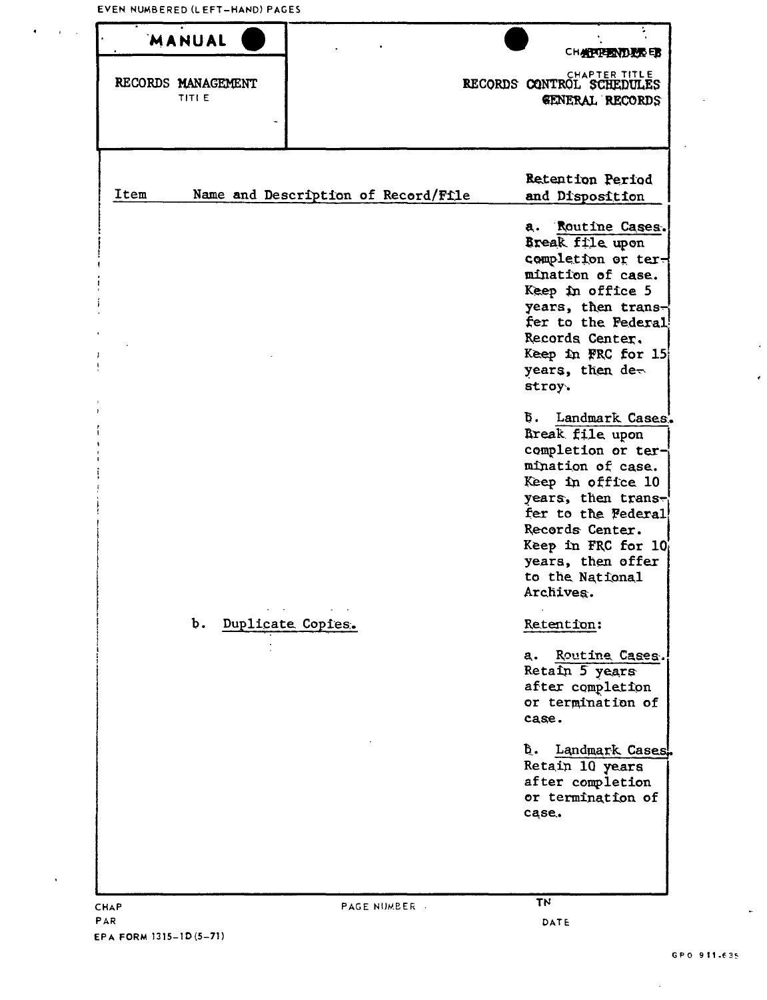| MANUAL                             |                                     | CHAPPERATURE ED                                                                                                                                                                                                                                          |
|------------------------------------|-------------------------------------|----------------------------------------------------------------------------------------------------------------------------------------------------------------------------------------------------------------------------------------------------------|
| RECORDS MANAGEMENT<br><b>TITLE</b> |                                     | CHAPTER TITLE<br>RECORDS CONTROL SCHEDULES<br><b>GENERAL RECORDS</b>                                                                                                                                                                                     |
| Item                               | Name and Description of Record/File | Retention Period<br>and Disposition                                                                                                                                                                                                                      |
|                                    |                                     | a. Routine Cases.<br>Break file upon<br>completion or ter-<br>mination of case.<br>Keep in office 5<br>years, then trans-<br>fer to the Federal<br>Records Center.<br>Keep in FRC for 15<br>years, then de-<br>stroy.                                    |
|                                    |                                     | <b>b.</b> Landmark Cases.<br>Break file upon<br>completion or ter-<br>mination of case.<br>Keep in office 10<br>years, then trans-<br>fer to the Federal<br>Records Center.<br>Keep in FRC for $10$<br>years, then offer<br>to the National<br>Archives. |
| Q.                                 | Duplicate Copies.                   | Retention:<br>Routine Cases.<br>a.<br>Retain 5 years<br>after completion<br>or termination of<br>case.                                                                                                                                                   |
|                                    |                                     | Ъ.<br>Landmark Cases.<br>Retain 10 years<br>after completion<br>or termination of<br>case.                                                                                                                                                               |
| <b>CHAP</b>                        | <b>PAGE NUMBER .</b>                | <b>TN</b>                                                                                                                                                                                                                                                |

 $\ddot{\phantom{a}}$ 

è